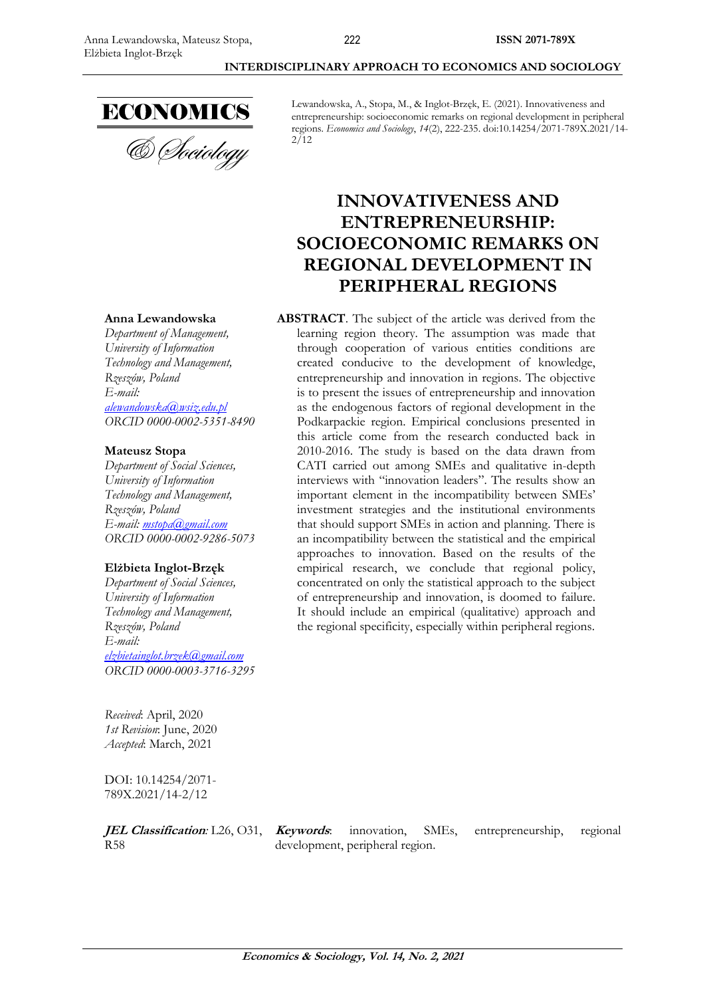

Lewandowska, A., Stopa, M., & Inglot-Brzęk, E. (2021). Innovativeness and entrepreneurship: socioeconomic remarks on regional development in peripheral regions. *Economics and Sociology*, *14*(2), 222-235. doi:10.14254/2071-789X.2021/14-  $2/12$ 

# **INNOVATIVENESS AND ENTREPRENEURSHIP: SOCIOECONOMIC REMARKS ON REGIONAL DEVELOPMENT IN PERIPHERAL REGIONS**

**ABSTRACT**. The subject of the article was derived from the learning region theory. The assumption was made that through cooperation of various entities conditions are created conducive to the development of knowledge, entrepreneurship and innovation in regions. The objective is to present the issues of entrepreneurship and innovation as the endogenous factors of regional development in the Podkarpackie region. Empirical conclusions presented in this article come from the research conducted back in 2010-2016. The study is based on the data drawn from CATI carried out among SMEs and qualitative in-depth interviews with "innovation leaders". The results show an important element in the incompatibility between SMEs' investment strategies and the institutional environments that should support SMEs in action and planning. There is an incompatibility between the statistical and the empirical approaches to innovation. Based on the results of the empirical research, we conclude that regional policy, concentrated on only the statistical approach to the subject of entrepreneurship and innovation, is doomed to failure. It should include an empirical (qualitative) approach and the regional specificity, especially within peripheral regions.

#### **Anna Lewandowska**

*Department of Management, University of Information Technology and Management, [Rzeszów](https://en.wikipedia.org/wiki/Podgorica), Poland E-mail: [alewandowska@wsiz.edu.pl](mailto:alewandowska@wsiz.edu.pl) ORCID 0000-0002-5351-8490*

### **Mateusz Stopa**

*Department of Social Sciences, University of Information Technology and Management, [Rzeszów](https://en.wikipedia.org/wiki/Podgorica), Poland E-mail: [mstopa@gmail.com](mailto:mstopa@gmail.com) ORCID 0000-0002-9286-5073*

#### **Elżbieta Inglot-Brzęk**

*Department of Social Sciences, University of Information Technology and Management, [Rzeszów](https://en.wikipedia.org/wiki/Podgorica), Poland E-mail: [elzbietainglot.brzek@gmail.com](mailto:elzbietainglot.brzek@gmail.com) ORCID 0000-0003-3716-3295*

*Received*: April, 2020 *1st Revision*: June, 2020 *Accepted*: March, 2021

DOI: 10.14254/2071- 789X.2021/14-2/12

**JEL Classification:** L26, O31, **Keywords**: R58

development, peripheral region.

innovation, SMEs, entrepreneurship, regional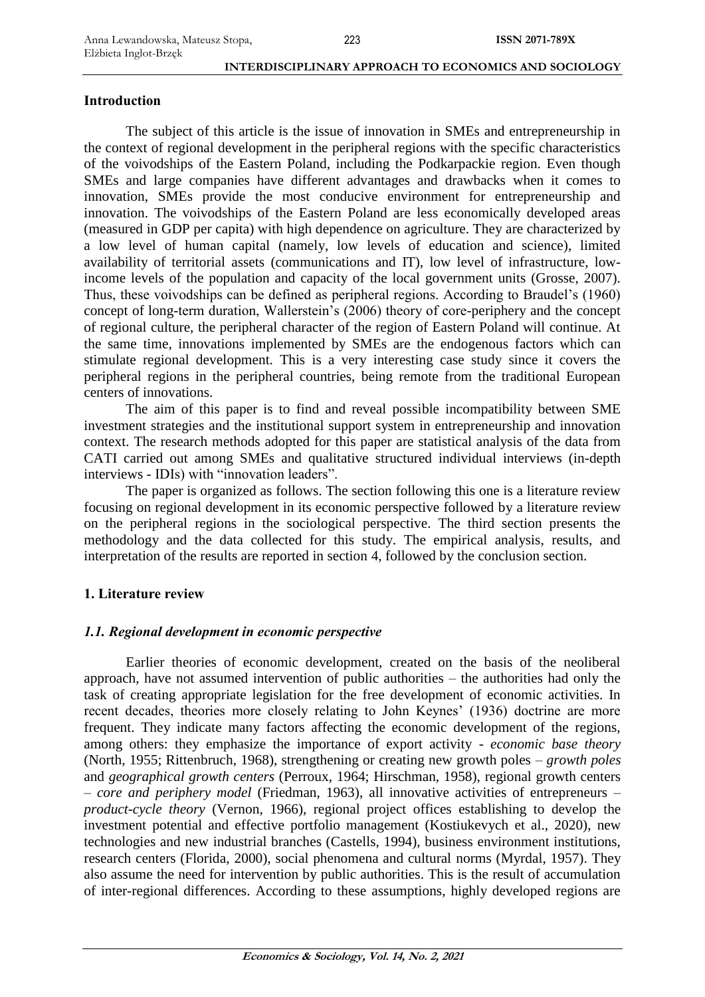# **Introduction**

The subject of this article is the issue of innovation in SMEs and entrepreneurship in the context of regional development in the peripheral regions with the specific characteristics of the voivodships of the Eastern Poland, including the Podkarpackie region. Even though SMEs and large companies have different advantages and drawbacks when it comes to innovation, SMEs provide the most conducive environment for entrepreneurship and innovation. The voivodships of the Eastern Poland are less economically developed areas (measured in GDP per capita) with high dependence on agriculture. They are characterized by a low level of human capital (namely, low levels of education and science), limited availability of territorial assets (communications and IT), low level of infrastructure, lowincome levels of the population and capacity of the local government units (Grosse, 2007). Thus, these voivodships can be defined as peripheral regions. According to Braudel's (1960) concept of long-term duration, Wallerstein's (2006) theory of core-periphery and the concept of regional culture, the peripheral character of the region of Eastern Poland will continue. At the same time, innovations implemented by SMEs are the endogenous factors which can stimulate regional development. This is a very interesting case study since it covers the peripheral regions in the peripheral countries, being remote from the traditional European centers of innovations.

The aim of this paper is to find and reveal possible incompatibility between SME investment strategies and the institutional support system in entrepreneurship and innovation context. The research methods adopted for this paper are statistical analysis of the data from CATI carried out among SMEs and qualitative structured individual interviews (in-depth interviews - IDIs) with "innovation leaders".

The paper is organized as follows. The section following this one is a literature review focusing on regional development in its economic perspective followed by a literature review on the peripheral regions in the sociological perspective. The third section presents the methodology and the data collected for this study. The empirical analysis, results, and interpretation of the results are reported in section 4, followed by the conclusion section.

# **1. Literature review**

# *1.1. Regional development in economic perspective*

Earlier theories of economic development, created on the basis of the neoliberal approach, have not assumed intervention of public authorities – the authorities had only the task of creating appropriate legislation for the free development of economic activities. In recent decades, theories more closely relating to John Keynes' (1936) doctrine are more frequent. They indicate many factors affecting the economic development of the regions, among others: they emphasize the importance of export activity - *economic base theory* (North, 1955; Rittenbruch, 1968), strengthening or creating new growth poles – *growth poles* and *geographical growth centers* (Perroux, 1964; Hirschman, 1958), regional growth centers – *core and periphery model* (Friedman, 1963), all innovative activities of entrepreneurs – *product-cycle theory* (Vernon, 1966), regional project offices establishing to develop the investment potential and effective portfolio management (Kostiukevych et al., 2020), new technologies and new industrial branches (Castells, 1994), business environment institutions, research centers (Florida, 2000), social phenomena and cultural norms (Myrdal, 1957). They also assume the need for intervention by public authorities. This is the result of accumulation of inter-regional differences. According to these assumptions, highly developed regions are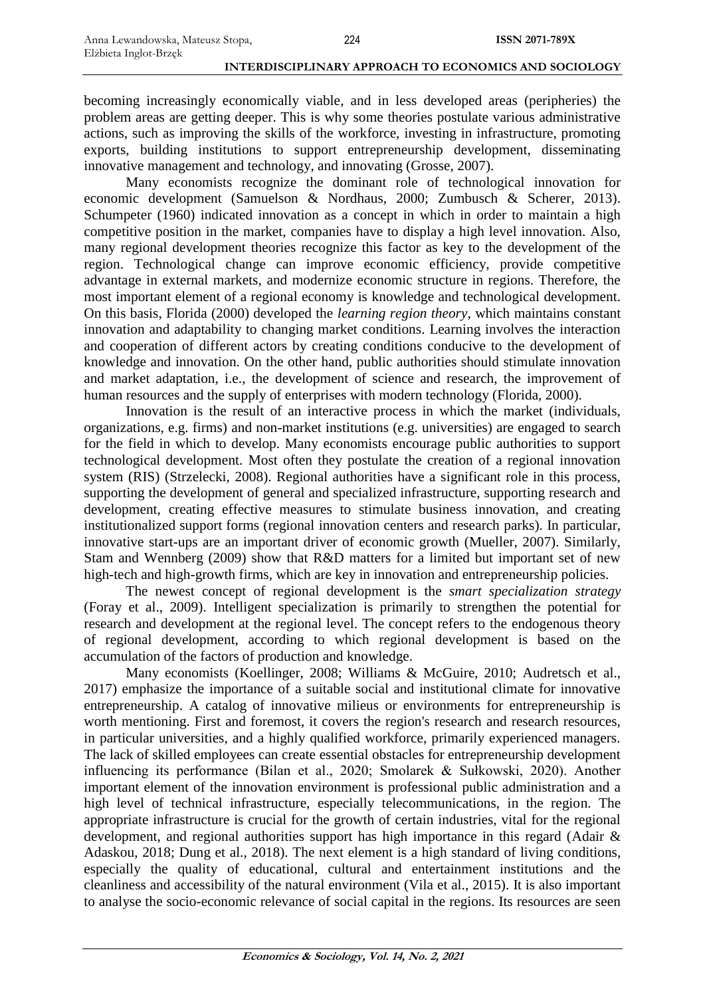becoming increasingly economically viable, and in less developed areas (peripheries) the problem areas are getting deeper. This is why some theories postulate various administrative actions, such as improving the skills of the workforce, investing in infrastructure, promoting exports, building institutions to support entrepreneurship development, disseminating innovative management and technology, and innovating (Grosse, 2007).

Many economists recognize the dominant role of technological innovation for economic development (Samuelson & Nordhaus, 2000; Zumbusch & Scherer, 2013). Schumpeter (1960) indicated innovation as a concept in which in order to maintain a high competitive position in the market, companies have to display a high level innovation. Also, many regional development theories recognize this factor as key to the development of the region. Technological change can improve economic efficiency, provide competitive advantage in external markets, and modernize economic structure in regions. Therefore, the most important element of a regional economy is knowledge and technological development. On this basis, Florida (2000) developed the *learning region theory*, which maintains constant innovation and adaptability to changing market conditions. Learning involves the interaction and cooperation of different actors by creating conditions conducive to the development of knowledge and innovation. On the other hand, public authorities should stimulate innovation and market adaptation, i.e., the development of science and research, the improvement of human resources and the supply of enterprises with modern technology (Florida, 2000).

Innovation is the result of an interactive process in which the market (individuals, organizations, e.g. firms) and non-market institutions (e.g. universities) are engaged to search for the field in which to develop. Many economists encourage public authorities to support technological development. Most often they postulate the creation of a regional innovation system (RIS) (Strzelecki, 2008). Regional authorities have a significant role in this process, supporting the development of general and specialized infrastructure, supporting research and development, creating effective measures to stimulate business innovation, and creating institutionalized support forms (regional innovation centers and research parks). In particular, innovative start-ups are an important driver of economic growth (Mueller, 2007). Similarly, Stam and Wennberg (2009) show that R&D matters for a limited but important set of new high-tech and high-growth firms, which are key in innovation and entrepreneurship policies.

The newest concept of regional development is the *smart specialization strategy* (Foray et al., 2009). Intelligent specialization is primarily to strengthen the potential for research and development at the regional level. The concept refers to the endogenous theory of regional development, according to which regional development is based on the accumulation of the factors of production and knowledge.

Many economists (Koellinger, 2008; Williams & McGuire, 2010; Audretsch et al., 2017) emphasize the importance of a suitable social and institutional climate for innovative entrepreneurship. A catalog of innovative milieus or environments for entrepreneurship is worth mentioning. First and foremost, it covers the region's research and research resources, in particular universities, and a highly qualified workforce, primarily experienced managers. The lack of skilled employees can create essential obstacles for entrepreneurship development influencing its performance (Bilan et al., 2020; Smolarek & Sułkowski, 2020). Another important element of the innovation environment is professional public administration and a high level of technical infrastructure, especially telecommunications, in the region. The appropriate infrastructure is crucial for the growth of certain industries, vital for the regional development, and regional authorities support has high importance in this regard (Adair & Adaskou, 2018; Dung et al., 2018). The next element is a high standard of living conditions, especially the quality of educational, cultural and entertainment institutions and the cleanliness and accessibility of the natural environment (Vila et al., 2015). It is also important to analyse the socio-economic relevance of social capital in the regions. Its resources are seen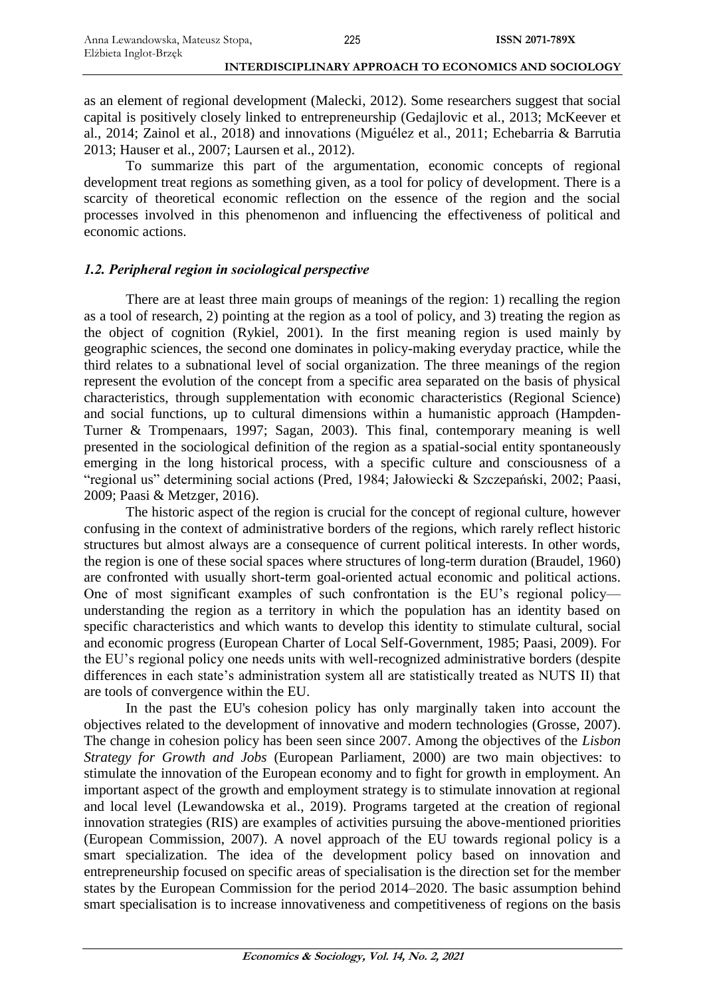as an element of regional development (Malecki, 2012). Some researchers suggest that social capital is positively closely linked to entrepreneurship (Gedajlovic et al., 2013; McKeever et al., 2014; Zainol et al., 2018) and innovations (Miguélez et al., 2011; Echebarria & Barrutia 2013; Hauser et al., 2007; Laursen et al., 2012).

To summarize this part of the argumentation, economic concepts of regional development treat regions as something given, as a tool for policy of development. There is a scarcity of theoretical economic reflection on the essence of the region and the social processes involved in this phenomenon and influencing the effectiveness of political and economic actions.

# *1.2. Peripheral region in sociological perspective*

There are at least three main groups of meanings of the region: 1) recalling the region as a tool of research, 2) pointing at the region as a tool of policy, and 3) treating the region as the object of cognition (Rykiel, 2001). In the first meaning region is used mainly by geographic sciences, the second one dominates in policy-making everyday practice, while the third relates to a subnational level of social organization. The three meanings of the region represent the evolution of the concept from a specific area separated on the basis of physical characteristics, through supplementation with economic characteristics (Regional Science) and social functions, up to cultural dimensions within a humanistic approach (Hampden-Turner & Trompenaars, 1997; Sagan, 2003). This final, contemporary meaning is well presented in the sociological definition of the region as a spatial-social entity spontaneously emerging in the long historical process, with a specific culture and consciousness of a "regional us" determining social actions (Pred, 1984; Jałowiecki & Szczepański, 2002; Paasi, 2009; Paasi & Metzger, 2016).

The historic aspect of the region is crucial for the concept of regional culture, however confusing in the context of administrative borders of the regions, which rarely reflect historic structures but almost always are a consequence of current political interests. In other words, the region is one of these social spaces where structures of long-term duration (Braudel, 1960) are confronted with usually short-term goal-oriented actual economic and political actions. One of most significant examples of such confrontation is the EU's regional policy understanding the region as a territory in which the population has an identity based on specific characteristics and which wants to develop this identity to stimulate cultural, social and economic progress (European Charter of Local Self-Government, 1985; Paasi, 2009). For the EU's regional policy one needs units with well-recognized administrative borders (despite differences in each state's administration system all are statistically treated as NUTS II) that are tools of convergence within the EU.

In the past the EU's cohesion policy has only marginally taken into account the objectives related to the development of innovative and modern technologies (Grosse, 2007). The change in cohesion policy has been seen since 2007. Among the objectives of the *Lisbon Strategy for Growth and Jobs* (European Parliament, 2000) are two main objectives: to stimulate the innovation of the European economy and to fight for growth in employment. An important aspect of the growth and employment strategy is to stimulate innovation at regional and local level (Lewandowska et al., 2019). Programs targeted at the creation of regional innovation strategies (RIS) are examples of activities pursuing the above-mentioned priorities (European Commission, 2007). A novel approach of the EU towards regional policy is a smart specialization. The idea of the development policy based on innovation and entrepreneurship focused on specific areas of specialisation is the direction set for the member states by the European Commission for the period 2014–2020. The basic assumption behind smart specialisation is to increase innovativeness and competitiveness of regions on the basis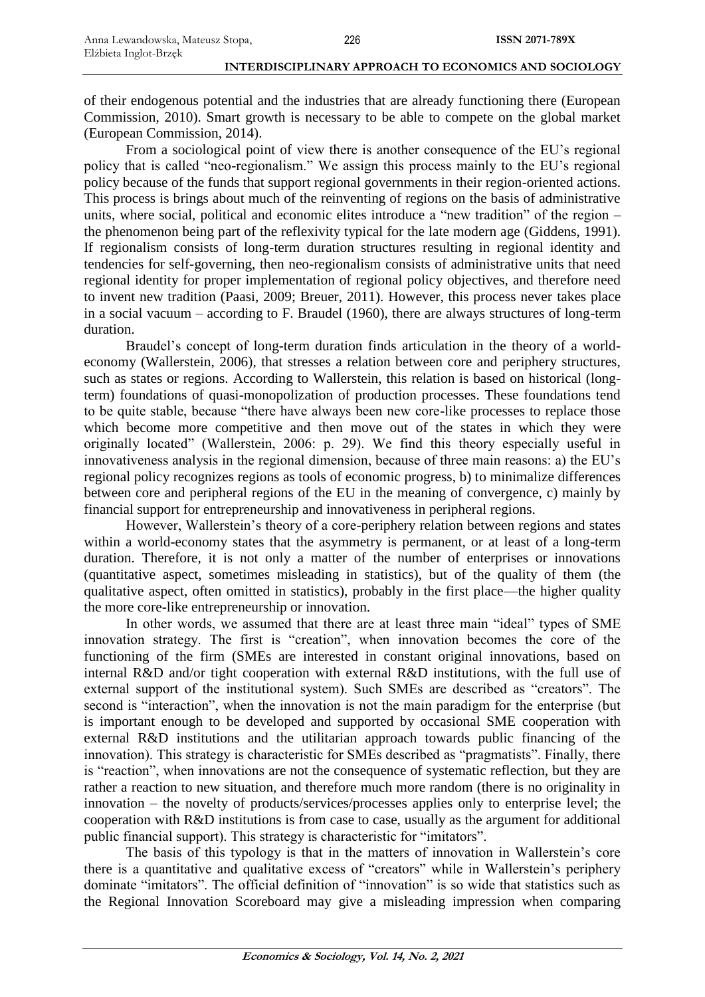of their endogenous potential and the industries that are already functioning there (European Commission, 2010). Smart growth is necessary to be able to compete on the global market (European Commission, 2014).

From a sociological point of view there is another consequence of the EU's regional policy that is called "neo-regionalism." We assign this process mainly to the EU's regional policy because of the funds that support regional governments in their region-oriented actions. This process is brings about much of the reinventing of regions on the basis of administrative units, where social, political and economic elites introduce a "new tradition" of the region – the phenomenon being part of the reflexivity typical for the late modern age (Giddens, 1991). If regionalism consists of long-term duration structures resulting in regional identity and tendencies for self-governing, then neo-regionalism consists of administrative units that need regional identity for proper implementation of regional policy objectives, and therefore need to invent new tradition (Paasi, 2009; Breuer, 2011). However, this process never takes place in a social vacuum – according to F. Braudel (1960), there are always structures of long-term duration.

Braudel's concept of long-term duration finds articulation in the theory of a worldeconomy (Wallerstein, 2006), that stresses a relation between core and periphery structures, such as states or regions. According to Wallerstein, this relation is based on historical (longterm) foundations of quasi-monopolization of production processes. These foundations tend to be quite stable, because "there have always been new core-like processes to replace those which become more competitive and then move out of the states in which they were originally located" (Wallerstein, 2006: p. 29). We find this theory especially useful in innovativeness analysis in the regional dimension, because of three main reasons: a) the EU's regional policy recognizes regions as tools of economic progress, b) to minimalize differences between core and peripheral regions of the EU in the meaning of convergence, c) mainly by financial support for entrepreneurship and innovativeness in peripheral regions.

However, Wallerstein's theory of a core-periphery relation between regions and states within a world-economy states that the asymmetry is permanent, or at least of a long-term duration. Therefore, it is not only a matter of the number of enterprises or innovations (quantitative aspect, sometimes misleading in statistics), but of the quality of them (the qualitative aspect, often omitted in statistics), probably in the first place—the higher quality the more core-like entrepreneurship or innovation.

In other words, we assumed that there are at least three main "ideal" types of SME innovation strategy. The first is "creation", when innovation becomes the core of the functioning of the firm (SMEs are interested in constant original innovations, based on internal R&D and/or tight cooperation with external R&D institutions, with the full use of external support of the institutional system). Such SMEs are described as "creators". The second is "interaction", when the innovation is not the main paradigm for the enterprise (but is important enough to be developed and supported by occasional SME cooperation with external R&D institutions and the utilitarian approach towards public financing of the innovation). This strategy is characteristic for SMEs described as "pragmatists". Finally, there is "reaction", when innovations are not the consequence of systematic reflection, but they are rather a reaction to new situation, and therefore much more random (there is no originality in innovation – the novelty of products/services/processes applies only to enterprise level; the cooperation with R&D institutions is from case to case, usually as the argument for additional public financial support). This strategy is characteristic for "imitators".

The basis of this typology is that in the matters of innovation in Wallerstein's core there is a quantitative and qualitative excess of "creators" while in Wallerstein's periphery dominate "imitators". The official definition of "innovation" is so wide that statistics such as the Regional Innovation Scoreboard may give a misleading impression when comparing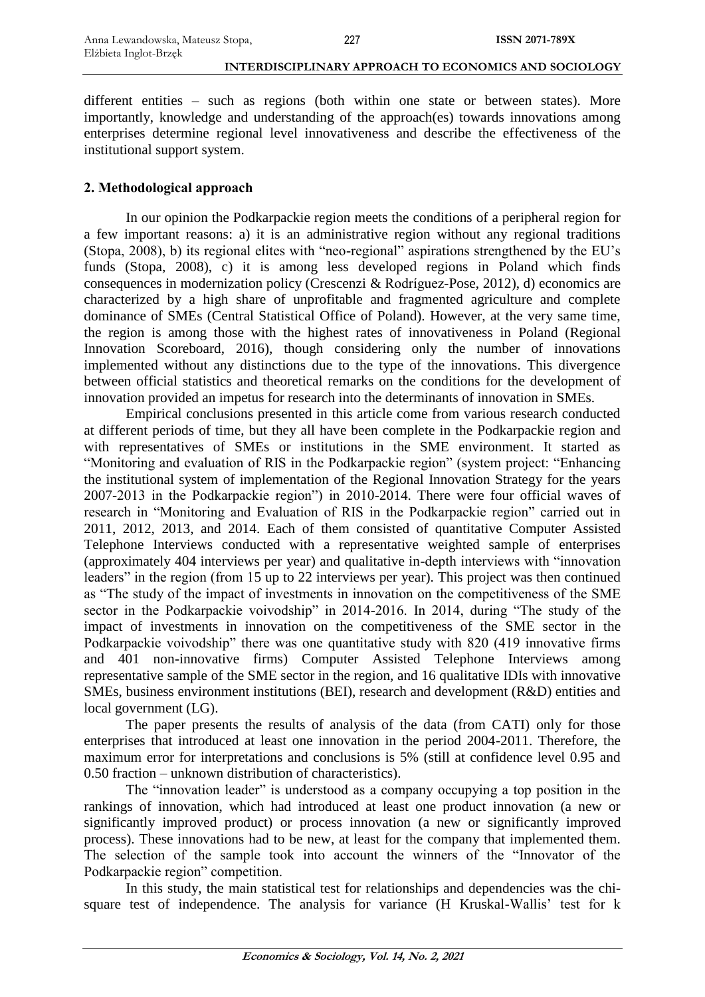different entities – such as regions (both within one state or between states). More importantly, knowledge and understanding of the approach(es) towards innovations among enterprises determine regional level innovativeness and describe the effectiveness of the institutional support system.

# **2. Methodological approach**

In our opinion the Podkarpackie region meets the conditions of a peripheral region for a few important reasons: a) it is an administrative region without any regional traditions (Stopa, 2008), b) its regional elites with "neo-regional" aspirations strengthened by the EU's funds (Stopa, 2008), c) it is among less developed regions in Poland which finds consequences in modernization policy (Crescenzi & Rodríguez-Pose, 2012), d) economics are characterized by a high share of unprofitable and fragmented agriculture and complete dominance of SMEs (Central Statistical Office of Poland). However, at the very same time, the region is among those with the highest rates of innovativeness in Poland (Regional Innovation Scoreboard, 2016), though considering only the number of innovations implemented without any distinctions due to the type of the innovations. This divergence between official statistics and theoretical remarks on the conditions for the development of innovation provided an impetus for research into the determinants of innovation in SMEs.

Empirical conclusions presented in this article come from various research conducted at different periods of time, but they all have been complete in the Podkarpackie region and with representatives of SMEs or institutions in the SME environment. It started as "Monitoring and evaluation of RIS in the Podkarpackie region" (system project: "Enhancing the institutional system of implementation of the Regional Innovation Strategy for the years 2007-2013 in the Podkarpackie region") in 2010-2014. There were four official waves of research in "Monitoring and Evaluation of RIS in the Podkarpackie region" carried out in 2011, 2012, 2013, and 2014. Each of them consisted of quantitative Computer Assisted Telephone Interviews conducted with a representative weighted sample of enterprises (approximately 404 interviews per year) and qualitative in-depth interviews with "innovation leaders" in the region (from 15 up to 22 interviews per year). This project was then continued as "The study of the impact of investments in innovation on the competitiveness of the SME sector in the Podkarpackie voivodship" in 2014-2016. In 2014, during "The study of the impact of investments in innovation on the competitiveness of the SME sector in the Podkarpackie voivodship" there was one quantitative study with 820 (419 innovative firms and 401 non-innovative firms) Computer Assisted Telephone Interviews among representative sample of the SME sector in the region, and 16 qualitative IDIs with innovative SMEs, business environment institutions (BEI), research and development (R&D) entities and local government (LG).

The paper presents the results of analysis of the data (from CATI) only for those enterprises that introduced at least one innovation in the period 2004-2011. Therefore, the maximum error for interpretations and conclusions is 5% (still at confidence level 0.95 and 0.50 fraction – unknown distribution of characteristics).

The "innovation leader" is understood as a company occupying a top position in the rankings of innovation, which had introduced at least one product innovation (a new or significantly improved product) or process innovation (a new or significantly improved process). These innovations had to be new, at least for the company that implemented them. The selection of the sample took into account the winners of the "Innovator of the Podkarpackie region" competition.

In this study, the main statistical test for relationships and dependencies was the chisquare test of independence. The analysis for variance (H Kruskal-Wallis' test for k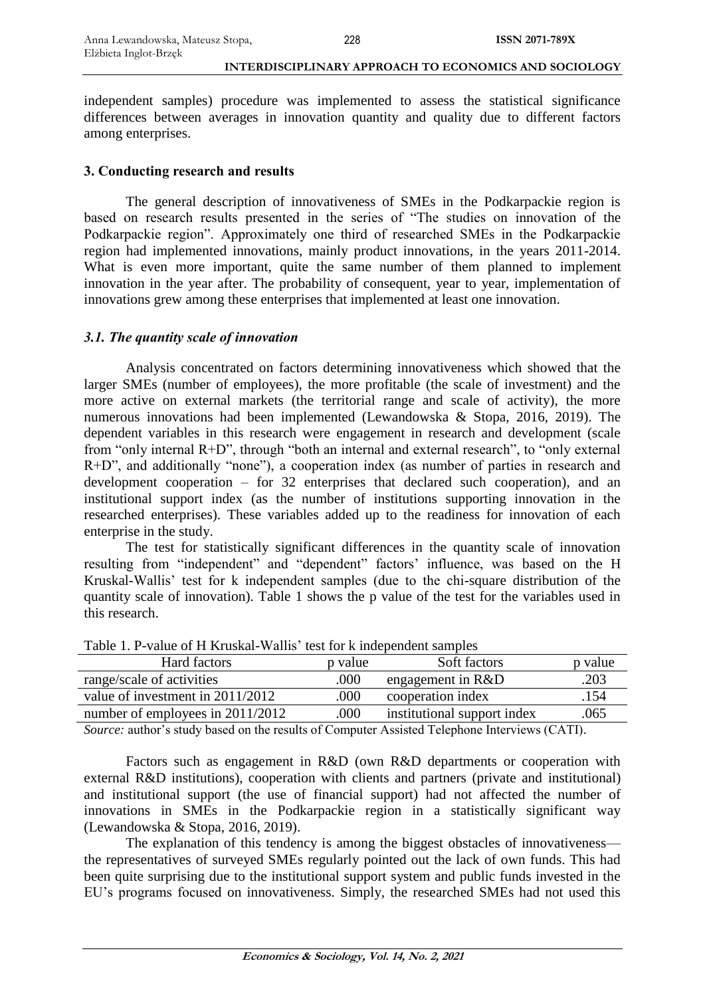independent samples) procedure was implemented to assess the statistical significance differences between averages in innovation quantity and quality due to different factors among enterprises.

### **3. Conducting research and results**

The general description of innovativeness of SMEs in the Podkarpackie region is based on research results presented in the series of "The studies on innovation of the Podkarpackie region". Approximately one third of researched SMEs in the Podkarpackie region had implemented innovations, mainly product innovations, in the years 2011-2014. What is even more important, quite the same number of them planned to implement innovation in the year after. The probability of consequent, year to year, implementation of innovations grew among these enterprises that implemented at least one innovation.

# *3.1. The quantity scale of innovation*

Analysis concentrated on factors determining innovativeness which showed that the larger SMEs (number of employees), the more profitable (the scale of investment) and the more active on external markets (the territorial range and scale of activity), the more numerous innovations had been implemented (Lewandowska & Stopa, 2016, 2019). The dependent variables in this research were engagement in research and development (scale from "only internal R+D", through "both an internal and external research", to "only external R+D", and additionally "none"), a cooperation index (as number of parties in research and development cooperation – for 32 enterprises that declared such cooperation), and an institutional support index (as the number of institutions supporting innovation in the researched enterprises). These variables added up to the readiness for innovation of each enterprise in the study.

The test for statistically significant differences in the quantity scale of innovation resulting from "independent" and "dependent" factors' influence, was based on the H Kruskal-Wallis' test for k independent samples (due to the chi-square distribution of the quantity scale of innovation). Table 1 shows the p value of the test for the variables used in this research.

| Hard factors                     | p value | Soft factors                | p value                                                 |
|----------------------------------|---------|-----------------------------|---------------------------------------------------------|
| range/scale of activities        | .000    | engagement in $R&D$         | .203                                                    |
| value of investment in 2011/2012 | .000    | cooperation index           | .154                                                    |
| number of employees in 2011/2012 | .000    | institutional support index | .065                                                    |
|                                  |         | .                           | $\sim$ $\sim$ $\sim$ $\sim$ $\sim$ $\sim$ $\sim$ $\sim$ |

Table 1. P-value of H Kruskal-Wallis' test for k independent samples

*Source:* author's study based on the results of Computer Assisted Telephone Interviews (CATI).

Factors such as engagement in R&D (own R&D departments or cooperation with external R&D institutions), cooperation with clients and partners (private and institutional) and institutional support (the use of financial support) had not affected the number of innovations in SMEs in the Podkarpackie region in a statistically significant way (Lewandowska & Stopa, 2016, 2019).

The explanation of this tendency is among the biggest obstacles of innovativeness the representatives of surveyed SMEs regularly pointed out the lack of own funds. This had been quite surprising due to the institutional support system and public funds invested in the EU's programs focused on innovativeness. Simply, the researched SMEs had not used this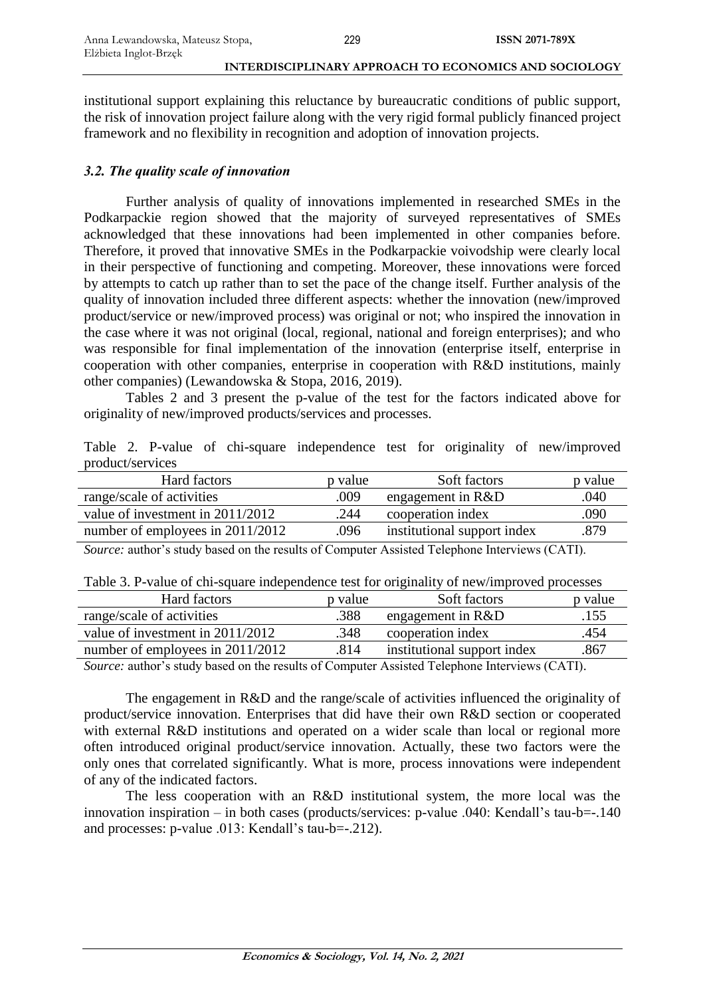institutional support explaining this reluctance by bureaucratic conditions of public support, the risk of innovation project failure along with the very rigid formal publicly financed project framework and no flexibility in recognition and adoption of innovation projects.

# *3.2. The quality scale of innovation*

Further analysis of quality of innovations implemented in researched SMEs in the Podkarpackie region showed that the majority of surveyed representatives of SMEs acknowledged that these innovations had been implemented in other companies before. Therefore, it proved that innovative SMEs in the Podkarpackie voivodship were clearly local in their perspective of functioning and competing. Moreover, these innovations were forced by attempts to catch up rather than to set the pace of the change itself. Further analysis of the quality of innovation included three different aspects: whether the innovation (new/improved product/service or new/improved process) was original or not; who inspired the innovation in the case where it was not original (local, regional, national and foreign enterprises); and who was responsible for final implementation of the innovation (enterprise itself, enterprise in cooperation with other companies, enterprise in cooperation with R&D institutions, mainly other companies) (Lewandowska & Stopa, 2016, 2019).

Tables 2 and 3 present the p-value of the test for the factors indicated above for originality of new/improved products/services and processes.

|                  |  |  |  |  | Table 2. P-value of chi-square independence test for originality of new/improved |
|------------------|--|--|--|--|----------------------------------------------------------------------------------|
| product/services |  |  |  |  |                                                                                  |

| Hard factors                     | p value | Soft factors                | p value |
|----------------------------------|---------|-----------------------------|---------|
| range/scale of activities        | .009    | engagement in $R&D$         | .040    |
| value of investment in 2011/2012 | .244    | cooperation index           | .090    |
| number of employees in 2011/2012 | .096    | institutional support index | .879    |
|                                  |         |                             |         |

*Source:* author's study based on the results of Computer Assisted Telephone Interviews (CATI).

|  | Table 3. P-value of chi-square independence test for originality of new/improved processes |  |  |  |  |
|--|--------------------------------------------------------------------------------------------|--|--|--|--|
|  |                                                                                            |  |  |  |  |

| Hard factors                     | p value | Soft factors                                                                                                                                                                                                                                                                                     | p value                            |
|----------------------------------|---------|--------------------------------------------------------------------------------------------------------------------------------------------------------------------------------------------------------------------------------------------------------------------------------------------------|------------------------------------|
| range/scale of activities        | .388    | engagement in $R&D$                                                                                                                                                                                                                                                                              | .155                               |
| value of investment in 2011/2012 | .348    | cooperation index                                                                                                                                                                                                                                                                                | .454                               |
| number of employees in 2011/2012 | .814    | institutional support index                                                                                                                                                                                                                                                                      | .867                               |
|                                  |         | $\mathbf{1}$ and $\mathbf{1}$ and $\mathbf{1}$ and $\mathbf{1}$ and $\mathbf{1}$ and $\mathbf{1}$ and $\mathbf{1}$ and $\mathbf{1}$ and $\mathbf{1}$ and $\mathbf{1}$ and $\mathbf{1}$ and $\mathbf{1}$ and $\mathbf{1}$ and $\mathbf{1}$ and $\mathbf{1}$ and $\mathbf{1}$ and $\mathbf{1}$ and | $\sim$ $\sim$ $\sim$ $\sim$ $\sim$ |

*Source:* author's study based on the results of Computer Assisted Telephone Interviews (CATI).

The engagement in R&D and the range/scale of activities influenced the originality of product/service innovation. Enterprises that did have their own R&D section or cooperated with external R&D institutions and operated on a wider scale than local or regional more often introduced original product/service innovation. Actually, these two factors were the only ones that correlated significantly. What is more, process innovations were independent of any of the indicated factors.

The less cooperation with an R&D institutional system, the more local was the innovation inspiration – in both cases (products/services: p-value .040: Kendall's tau-b=-.140 and processes: p-value .013: Kendall's tau-b=-.212).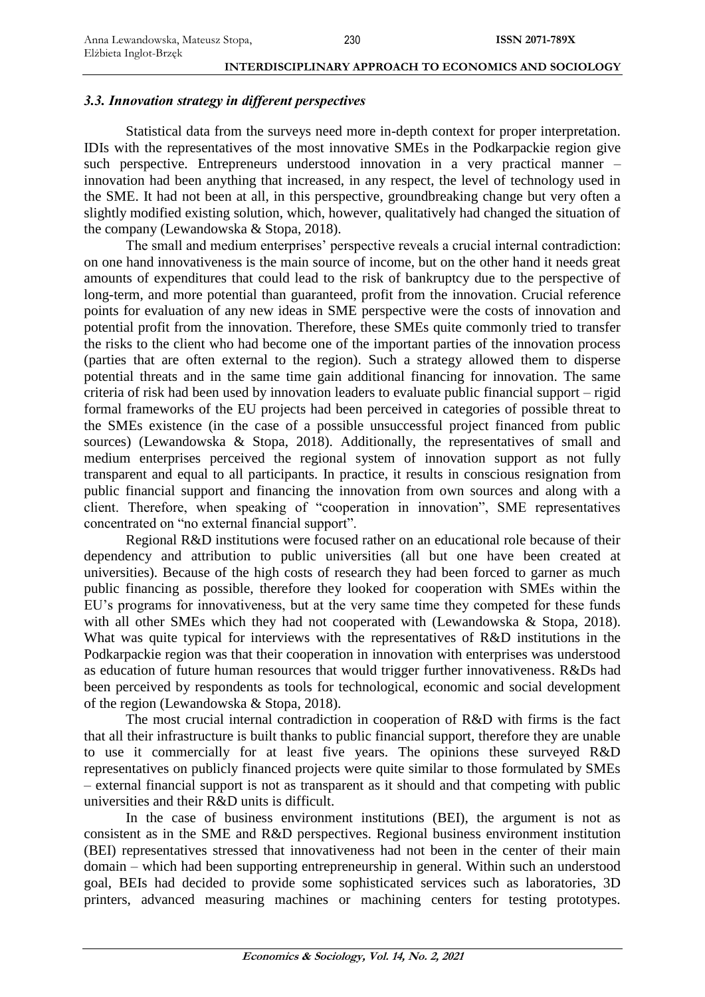### *3.3. Innovation strategy in different perspectives*

Statistical data from the surveys need more in-depth context for proper interpretation. IDIs with the representatives of the most innovative SMEs in the Podkarpackie region give such perspective. Entrepreneurs understood innovation in a very practical manner – innovation had been anything that increased, in any respect, the level of technology used in the SME. It had not been at all, in this perspective, groundbreaking change but very often a slightly modified existing solution, which, however, qualitatively had changed the situation of the company (Lewandowska & Stopa, 2018).

The small and medium enterprises' perspective reveals a crucial internal contradiction: on one hand innovativeness is the main source of income, but on the other hand it needs great amounts of expenditures that could lead to the risk of bankruptcy due to the perspective of long-term, and more potential than guaranteed, profit from the innovation. Crucial reference points for evaluation of any new ideas in SME perspective were the costs of innovation and potential profit from the innovation. Therefore, these SMEs quite commonly tried to transfer the risks to the client who had become one of the important parties of the innovation process (parties that are often external to the region). Such a strategy allowed them to disperse potential threats and in the same time gain additional financing for innovation. The same criteria of risk had been used by innovation leaders to evaluate public financial support – rigid formal frameworks of the EU projects had been perceived in categories of possible threat to the SMEs existence (in the case of a possible unsuccessful project financed from public sources) (Lewandowska & Stopa, 2018). Additionally, the representatives of small and medium enterprises perceived the regional system of innovation support as not fully transparent and equal to all participants. In practice, it results in conscious resignation from public financial support and financing the innovation from own sources and along with a client. Therefore, when speaking of "cooperation in innovation", SME representatives concentrated on "no external financial support".

Regional R&D institutions were focused rather on an educational role because of their dependency and attribution to public universities (all but one have been created at universities). Because of the high costs of research they had been forced to garner as much public financing as possible, therefore they looked for cooperation with SMEs within the EU's programs for innovativeness, but at the very same time they competed for these funds with all other SMEs which they had not cooperated with (Lewandowska & Stopa, 2018). What was quite typical for interviews with the representatives of R&D institutions in the Podkarpackie region was that their cooperation in innovation with enterprises was understood as education of future human resources that would trigger further innovativeness. R&Ds had been perceived by respondents as tools for technological, economic and social development of the region (Lewandowska & Stopa, 2018).

The most crucial internal contradiction in cooperation of R&D with firms is the fact that all their infrastructure is built thanks to public financial support, therefore they are unable to use it commercially for at least five years. The opinions these surveyed R&D representatives on publicly financed projects were quite similar to those formulated by SMEs – external financial support is not as transparent as it should and that competing with public universities and their R&D units is difficult.

In the case of business environment institutions (BEI), the argument is not as consistent as in the SME and R&D perspectives. Regional business environment institution (BEI) representatives stressed that innovativeness had not been in the center of their main domain – which had been supporting entrepreneurship in general. Within such an understood goal, BEIs had decided to provide some sophisticated services such as laboratories, 3D printers, advanced measuring machines or machining centers for testing prototypes.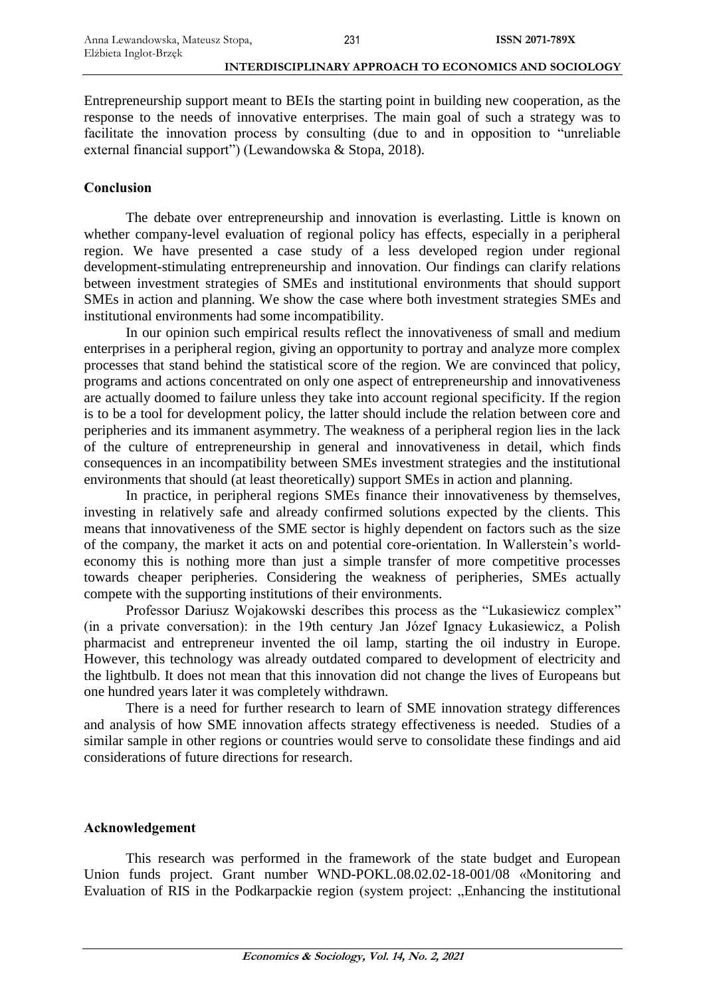Entrepreneurship support meant to BEIs the starting point in building new cooperation, as the response to the needs of innovative enterprises. The main goal of such a strategy was to facilitate the innovation process by consulting (due to and in opposition to "unreliable external financial support") (Lewandowska & Stopa, 2018).

# **Conclusion**

The debate over entrepreneurship and innovation is everlasting. Little is known on whether company-level evaluation of regional policy has effects, especially in a peripheral region. We have presented a case study of a less developed region under regional development-stimulating entrepreneurship and innovation. Our findings can clarify relations between investment strategies of SMEs and institutional environments that should support SMEs in action and planning. We show the case where both investment strategies SMEs and institutional environments had some incompatibility.

In our opinion such empirical results reflect the innovativeness of small and medium enterprises in a peripheral region, giving an opportunity to portray and analyze more complex processes that stand behind the statistical score of the region. We are convinced that policy, programs and actions concentrated on only one aspect of entrepreneurship and innovativeness are actually doomed to failure unless they take into account regional specificity. If the region is to be a tool for development policy, the latter should include the relation between core and peripheries and its immanent asymmetry. The weakness of a peripheral region lies in the lack of the culture of entrepreneurship in general and innovativeness in detail, which finds consequences in an incompatibility between SMEs investment strategies and the institutional environments that should (at least theoretically) support SMEs in action and planning.

In practice, in peripheral regions SMEs finance their innovativeness by themselves, investing in relatively safe and already confirmed solutions expected by the clients. This means that innovativeness of the SME sector is highly dependent on factors such as the size of the company, the market it acts on and potential core-orientation. In Wallerstein's worldeconomy this is nothing more than just a simple transfer of more competitive processes towards cheaper peripheries. Considering the weakness of peripheries, SMEs actually compete with the supporting institutions of their environments.

Professor Dariusz Wojakowski describes this process as the "Lukasiewicz complex" (in a private conversation): in the 19th century Jan Józef Ignacy Łukasiewicz, a Polish pharmacist and entrepreneur invented the oil lamp, starting the oil industry in Europe. However, this technology was already outdated compared to development of electricity and the lightbulb. It does not mean that this innovation did not change the lives of Europeans but one hundred years later it was completely withdrawn.

There is a need for further research to learn of SME innovation strategy differences and analysis of how SME innovation affects strategy effectiveness is needed. Studies of a similar sample in other regions or countries would serve to consolidate these findings and aid considerations of future directions for research.

# **Acknowledgement**

This research was performed in the framework of the state budget and European Union funds project. Grant number WND-POKL.08.02.02-18-001/08 «Monitoring and Evaluation of RIS in the Podkarpackie region (system project: "Enhancing the institutional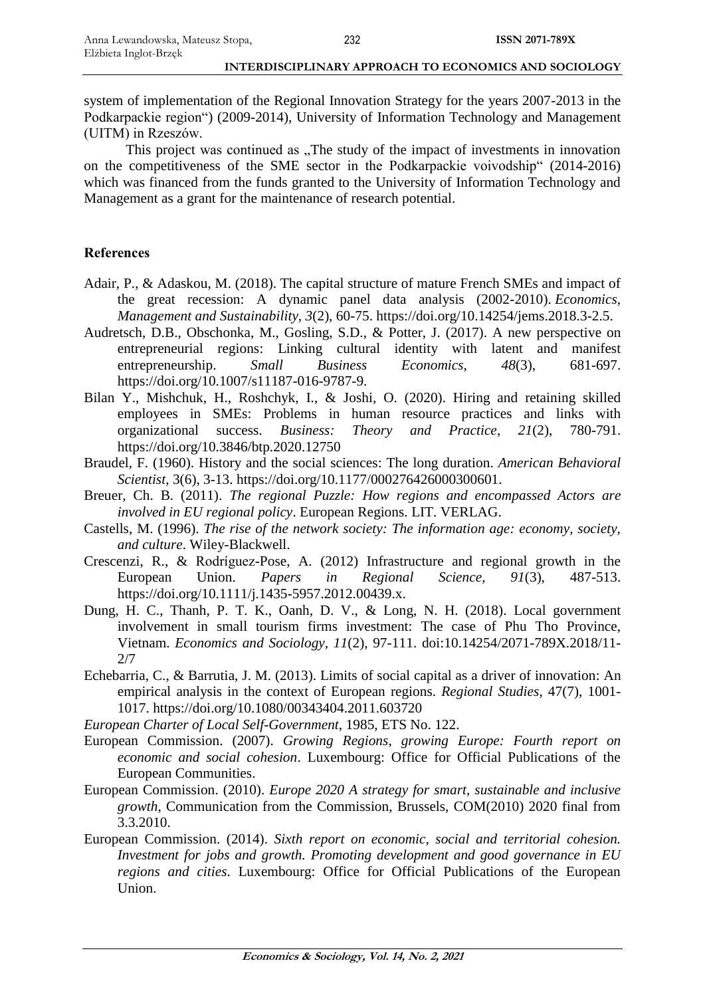system of implementation of the Regional Innovation Strategy for the years 2007-2013 in the Podkarpackie region") (2009-2014), University of Information Technology and Management (UITM) in Rzeszów.

This project was continued as "The study of the impact of investments in innovation on the competitiveness of the SME sector in the Podkarpackie voivodship" (2014-2016) which was financed from the funds granted to the University of Information Technology and Management as a grant for the maintenance of research potential.

### **References**

- Adair, P., & Adaskou, M. (2018). The capital structure of mature French SMEs and impact of the great recession: A dynamic panel data analysis (2002-2010). *Economics, Management and Sustainability, 3*(2), 60-75. https://doi.org/10.14254/jems.2018.3-2.5.
- Audretsch, D.B., Obschonka, M., Gosling, S.D., & Potter, J. (2017). A new perspective on entrepreneurial regions: Linking cultural identity with latent and manifest entrepreneurship. *Small Business Economics*, *48*(3), 681-697. https://doi.org/10.1007/s11187-016-9787-9.
- Bilan Y., Mishchuk, H., Roshchyk, I., & Joshi, O. (2020). Hiring and retaining skilled employees in SMEs: Problems in human resource practices and links with organizational success. *Business: Theory and Practice*, *21*(2), 780-791. https://doi.org/10.3846/btp.2020.12750
- Braudel, F. (1960). History and the social sciences: The long duration. *American Behavioral Scientist*, 3(6), 3-13. https://doi.org/10.1177/000276426000300601.
- Breuer, Ch. B. (2011). *The regional Puzzle: How regions and encompassed Actors are involved in EU regional policy*. European Regions. LIT. VERLAG.
- Castells, M. (1996). *The rise of the network society: The information age: economy, society, and culture*. Wiley-Blackwell.
- Crescenzi, R., & Rodríguez-Pose, A. (2012) Infrastructure and regional growth in the European Union. *Papers in Regional Science*, *91*(3), 487-513. https://doi.org/10.1111/j.1435-5957.2012.00439.x.
- Dung, H. C., Thanh, P. T. K., Oanh, D. V., & Long, N. H. (2018). Local government involvement in small tourism firms investment: The case of Phu Tho Province, Vietnam. *Economics and Sociology, 11*(2), 97-111. doi:10.14254/2071-789X.2018/11- 2/7
- Echebarria, C., & Barrutia, J. M. (2013). Limits of social capital as a driver of innovation: An empirical analysis in the context of European regions. *Regional Studies*, 47(7), 1001- 1017. https://doi.org/10.1080/00343404.2011.603720
- *European Charter of Local Self-Government*, 1985, ETS No. 122.
- European Commission. (2007). *Growing Regions, growing Europe: Fourth report on economic and social cohesion*. Luxembourg: Office for Official Publications of the European Communities.
- European Commission. (2010). *Europe 2020 A strategy for smart, sustainable and inclusive growth*, Communication from the Commission, Brussels, COM(2010) 2020 final from 3.3.2010.
- European Commission. (2014). *Sixth report on economic, social and territorial cohesion. Investment for jobs and growth. Promoting development and good governance in EU regions and cities*. Luxembourg: Office for Official Publications of the European Union.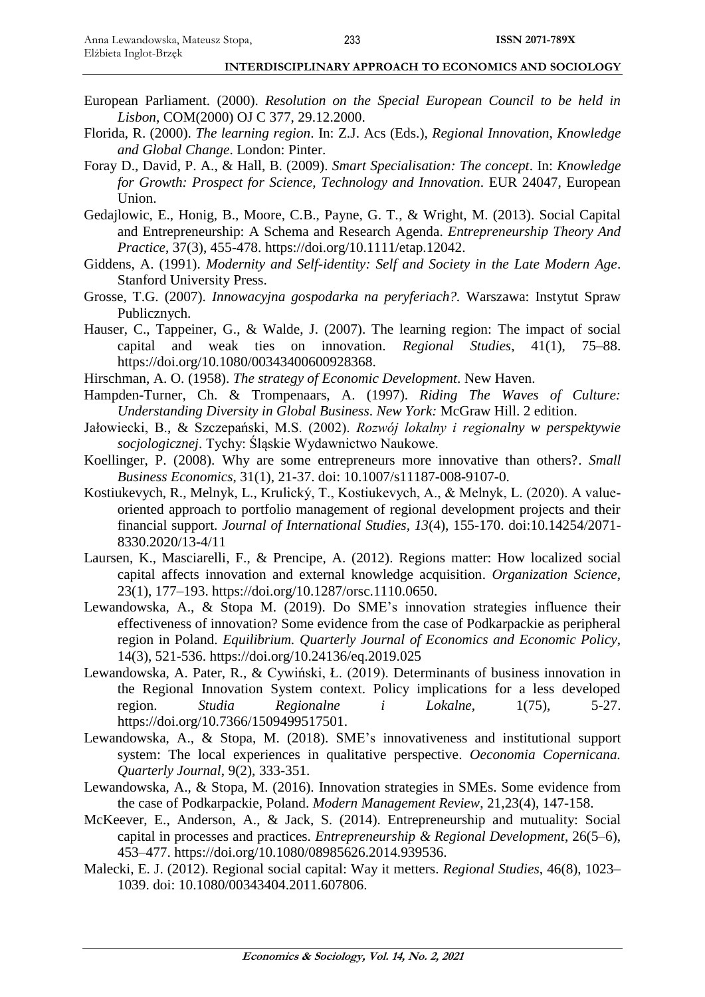- European Parliament. (2000). *Resolution on the Special European Council to be held in Lisbon*, COM(2000) OJ C 377, 29.12.2000.
- Florida, R. (2000). *The learning region*. In: Z.J. Acs (Eds.), *Regional Innovation, Knowledge and Global Change*. London: Pinter.
- Foray D., David, P. A., & Hall, B. (2009). *Smart Specialisation: The concept*. In: *Knowledge for Growth: Prospect for Science, Technology and Innovation*. EUR 24047, European Union.
- Gedajlowic, E., Honig, B., Moore, C.B., Payne, G. T., & Wright, M. (2013). Social Capital and Entrepreneurship: A Schema and Research Agenda. *Entrepreneurship Theory And Practice*, 37(3), 455-478. https://doi.org/10.1111/etap.12042.
- Giddens, A. (1991). *Modernity and Self-identity: Self and Society in the Late Modern Age*. Stanford University Press.
- Grosse, T.G. (2007). *Innowacyjna gospodarka na peryferiach?.* Warszawa: Instytut Spraw Publicznych.
- Hauser, C., Tappeiner, G., & Walde, J. (2007). The learning region: The impact of social capital and weak ties on innovation. *Regional Studies*, 41(1), 75–88. https://doi.org/10.1080/00343400600928368.
- Hirschman, A. O. (1958). *The strategy of Economic Development*. New Haven.
- Hampden-Turner, Ch. & Trompenaars, A. (1997). *Riding The Waves of Culture: Understanding Diversity in Global Business*. *New York:* McGraw Hill. 2 edition.
- Jałowiecki, B., & Szczepański, M.S. (2002). *Rozwój lokalny i regionalny w perspektywie socjologicznej*. Tychy: Śląskie Wydawnictwo Naukowe.
- Koellinger, P. (2008). Why are some entrepreneurs more innovative than others?. *Small Business Economics*, 31(1), 21-37. doi: 10.1007/s11187-008-9107-0.
- Kostiukevych, R., Melnyk, L., Krulický, T., Kostiukevych, A., & Melnyk, L. (2020). A valueoriented approach to portfolio management of regional development projects and their financial support. *Journal of International Studies, 13*(4), 155-170. doi:10.14254/2071- 8330.2020/13-4/11
- Laursen, K., Masciarelli, F., & Prencipe, A. (2012). Regions matter: How localized social capital affects innovation and external knowledge acquisition. *Organization Science*, 23(1), 177–193. https://doi.org/10.1287/orsc.1110.0650.
- Lewandowska, A., & Stopa M. (2019). Do SME's innovation strategies influence their effectiveness of innovation? Some evidence from the case of Podkarpackie as peripheral region in Poland. *Equilibrium. Quarterly Journal of Economics and Economic Policy*, 14(3), 521-536. https://doi.org[/10.24136/eq.2019.025](https://doi.org/10.24136/eq.2019.025)
- Lewandowska, A. Pater, R., & Cywiński, Ł. (2019). Determinants of business innovation in the Regional Innovation System context. Policy implications for a less developed region. *Studia Regionalne i Lokalne*, 1(75), 5-27. https://doi.org/10.7366/1509499517501.
- Lewandowska, A., & Stopa, M. (2018). SME's innovativeness and institutional support system: The local experiences in qualitative perspective. *Oeconomia Copernicana. Quarterly Journal*, 9(2), 333-351.
- Lewandowska, A., & Stopa, M. (2016). Innovation strategies in SMEs. Some evidence from the case of Podkarpackie, Poland. *Modern Management Review*, 21,23(4), 147-158.
- McKeever, E., Anderson, A., & Jack, S. (2014). Entrepreneurship and mutuality: Social capital in processes and practices. *Entrepreneurship & Regional Development*, 26(5–6), 453–477. https://doi.org/10.1080/08985626.2014.939536.
- Malecki, E. J. (2012). Regional social capital: Way it metters. *Regional Studies*, 46(8), 1023– 1039. doi: 10.1080/00343404.2011.607806.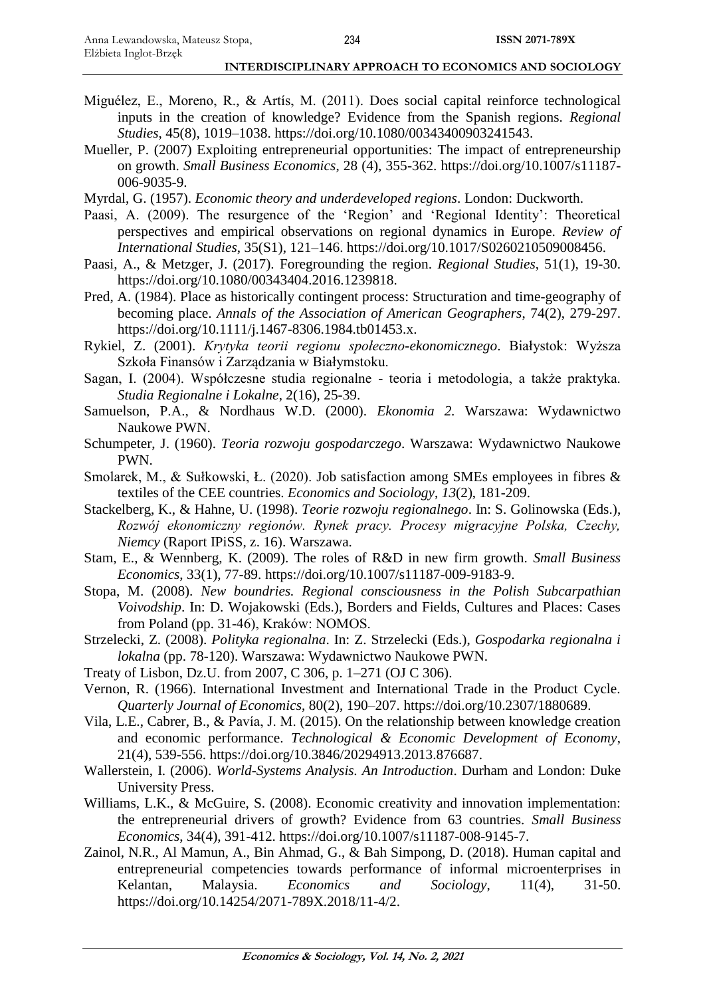- Miguélez, E., Moreno, R., & Artís, M. (2011). Does social capital reinforce technological inputs in the creation of knowledge? Evidence from the Spanish regions. *Regional Studies*, 45(8), 1019–1038. https://doi.org/10.1080/00343400903241543.
- Mueller, P. (2007) Exploiting entrepreneurial opportunities: The impact of entrepreneurship on growth. *Small Business Economics*, 28 (4), 355-362. https://doi.org/10.1007/s11187- 006-9035-9.
- Myrdal, G. (1957). *Economic theory and underdeveloped regions*. London: Duckworth.
- Paasi, A. (2009). The resurgence of the 'Region' and 'Regional Identity': Theoretical perspectives and empirical observations on regional dynamics in Europe. *Review of International Studies*, 35(S1), 121–146. https://doi.org/10.1017/S0260210509008456.
- Paasi, A., & Metzger, J. (2017). Foregrounding the region. *Regional Studies*, 51(1), 19-30. https://doi.org/10.1080/00343404.2016.1239818.
- Pred, A. (1984). Place as historically contingent process: Structuration and time-geography of becoming place. *Annals of the Association of American Geographers*, 74(2), 279-297. https://doi.org/10.1111/j.1467-8306.1984.tb01453.x.
- Rykiel, Z. (2001). *Krytyka teorii regionu społeczno-ekonomicznego*. Białystok: Wyższa Szkoła Finansów i Zarządzania w Białymstoku.
- Sagan, I. (2004). Współczesne studia regionalne teoria i metodologia, a także praktyka. *Studia Regionalne i Lokalne*, 2(16), 25-39.
- Samuelson, P.A., & Nordhaus W.D. (2000). *Ekonomia 2.* Warszawa: Wydawnictwo Naukowe PWN.
- Schumpeter, J. (1960). *Teoria rozwoju gospodarczego*. Warszawa: Wydawnictwo Naukowe PWN.
- Smolarek, M., & Sułkowski, Ł. (2020). Job satisfaction among SMEs employees in fibres & textiles of the CEE countries. *Economics and Sociology*, *13*(2), 181-209.
- Stackelberg, K., & Hahne, U. (1998). *Teorie rozwoju regionalnego*. In: S. Golinowska (Eds.), *Rozwój ekonomiczny regionów. Rynek pracy. Procesy migracyjne Polska, Czechy, Niemcy* (Raport IPiSS, z. 16). Warszawa.
- Stam, E., & Wennberg, K. (2009). The roles of R&D in new firm growth. *Small Business Economics*, 33(1), 77-89. https://doi.org/10.1007/s11187-009-9183-9.
- Stopa, M. (2008). *New boundries. Regional consciousness in the Polish Subcarpathian Voivodship*. In: D. Wojakowski (Eds.), Borders and Fields, Cultures and Places: Cases from Poland (pp. 31-46), Kraków: NOMOS.
- Strzelecki, Z. (2008). *Polityka regionalna*. In: Z. Strzelecki (Eds.), *Gospodarka regionalna i lokalna* (pp. 78-120). Warszawa: Wydawnictwo Naukowe PWN.
- Treaty of Lisbon, Dz.U. from 2007, C 306, p. 1–271 (OJ C 306).
- Vernon, R. (1966). International Investment and International Trade in the Product Cycle. *Quarterly Journal of Economics*, 80(2), 190–207. https://doi.org/10.2307/1880689.
- Vila, L.E., Cabrer, B., & Pavía, J. M. (2015). On the relationship between knowledge creation and economic performance. *Technological & Economic Development of Economy*, 21(4), 539-556. https://doi.org/10.3846/20294913.2013.876687.
- Wallerstein, I. (2006). *World-Systems Analysis. An Introduction*. Durham and London: Duke University Press.
- Williams, L.K., & McGuire, S. (2008). Economic creativity and innovation implementation: the entrepreneurial drivers of growth? Evidence from 63 countries. *Small Business Economics*, 34(4), 391-412. https://doi.org/10.1007/s11187-008-9145-7.
- Zainol, N.R., Al Mamun, A., Bin Ahmad, G., & Bah Simpong, D. (2018). Human capital and entrepreneurial competencies towards performance of informal microenterprises in Kelantan, Malaysia. *Economics and Sociology*, 11(4), 31-50. https://doi.org/10.14254/2071-789X.2018/11-4/2.